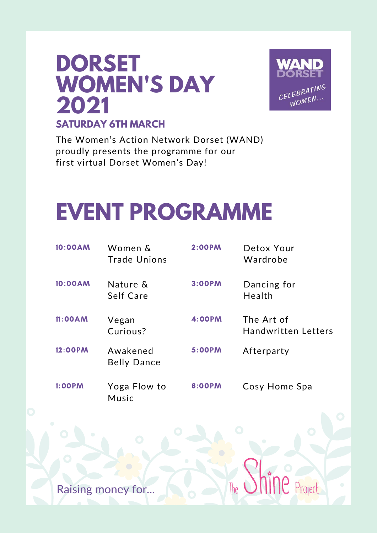# **DORSET WOMEN'S DAY 2021 SATURDAY 6TH MARCH**



Project

The Women's Action Network Dorset (WAND) proudly presents the programme for our first virtual Dorset Women's Day!

# **EVENT PROGRAMME**

| 10:00AM       | Women &<br><b>Trade Unions</b> | <b>2:00PM</b> | Detox Your<br>Wardrobe                   |
|---------------|--------------------------------|---------------|------------------------------------------|
| 10:00AM       | Nature &<br>Self Care          | 3:00PM        | Dancing for<br>Health                    |
| 11:00AM       | Vegan<br>Curious?              | <b>4:00PM</b> | The Art of<br><b>Handwritten Letters</b> |
| 12:00PM       | Awakened<br><b>Belly Dance</b> | <b>5:00PM</b> | Afterparty                               |
| <b>1:00PM</b> | Yoga Flow to<br>Music          | 8:00PM        | Cosy Home Spa                            |

lhe

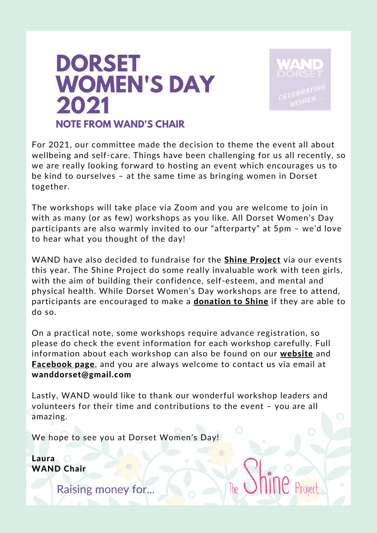# **DORSET WOMEN'S DAY 2021 NOTE FROM WAND'S CHAIR**



For 2021, our committee made the decision to theme the event all about wellbeing and self-care. Things have been challenging for us all recently, so we are really looking forward to hosting an event which encourages us to be kind to ourselves – at the same time as bringing women in Dorset together.

The workshops will take place via Zoom and you are welcome to join in with as many (or as few) workshops as you like. All Dorset Women's Day participants are also warmly invited to our "afterparty" at 5pm – we'd love to hear what you thought of the day!

WAND have also decided to fundraise for the **Shine [Project](http://shineproject.org.uk/)** via our events this year. The Shine Project do some really invaluable work with teen girls, with the aim of building their confidence, self-esteem, and mental and physical health. While Dorset Women's Day workshops are free to attend, participants are encouraged to make a **[donation](https://www.gofundme.com/f/wand-fundraiser-for-the-shine-project) to Shine** if they are able to do so.

On a practical note, some workshops require advance registration, so please do check the event information for each workshop carefully. Full information about each workshop can also be found on our **[website](https://wandwomen.org.uk/events/)** and **[Facebook](https://www.facebook.com/fantasticdorsetwomen/events) page**, and you are always welcome to contact us via email at wanddorset@gmail.com

Lastly, WAND would like to thank our wonderful workshop leaders and volunteers for their time and contributions to the event – you are all amazing.

We hope to see you at Dorset Women's Day!

**Laura** WAND Chair

Raising money for...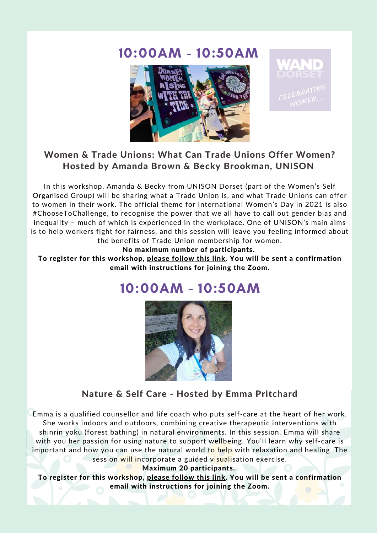### 10:00AM - 10:50AM





#### Women & Trade Unions: What Can Trade Unions Offer Women? Hosted by Amanda Brown & Becky Brookman, UNISON

In this workshop, Amanda & Becky from UNISON Dorset (part of the Women's Self Organised Group) will be sharing what a Trade Union is, and what Trade Unions can offer to women in their work. The official theme for International Women's Day in 2021 is also #ChooseToChallenge, to recognise the power that we all have to call out gender bias and inequality – much of which is experienced in the workplace. One of UNISON's main aims is to help workers fight for fairness, and this session will leave you feeling informed about the benefits of Trade Union membership for women.

No maximum number of participants.

To register for this workshop, please [follow](https://us02web.zoom.us/meeting/register/tZcuc-Gupj4tHdEeVoIPXGsCsbuvqhC3jPmM) this link. You will be sent a confirmation email with instructions for joining the Zoom.

### 10:00AM - 10:50AM



#### Nature & Self Care - Hosted by Emma Pritchard

Emma is a qualified counsellor and life coach who puts self-care at the heart of her work. She works indoors and outdoors, combining creative therapeutic interventions with shinrin yoku (forest bathing) in natural environments. In this session, Emma will share with you her passion for using nature to support wellbeing. You'll learn why self-care is important and how you can use the natural world to help with relaxation and healing. The session will incorporate a guided visualisation exercise.

Maximum 20 participants.

To register for this workshop, please [follow](https://us02web.zoom.us/meeting/register/tZAvc-GoqDstHdJXB_8_Fen98oGiAxJBZU01) this link. You will be sent a confirmation email with instructions for joining the Zoom.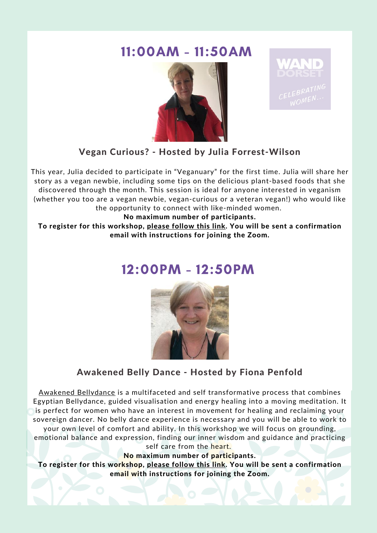### 11:00AM - 11:50AM





#### Vegan Curious? - Hosted by Julia Forrest-Wilson

This year, Julia decided to participate in "Veganuary" for the first time. Julia will share her story as a vegan newbie, including some tips on the delicious plant-based foods that she discovered through the month. This session is ideal for anyone interested in veganism (whether you too are a vegan newbie, vegan-curious or a veteran vegan!) who would like the opportunity to connect with like-minded women.

No maximum number of participants.

To register for this workshop, please [follow](https://us02web.zoom.us/meeting/register/tZMuf-yvrD8tGtM56CuWeAh-MOSF-WAIvzs3) this link. You will be sent a confirmation email with instructions for joining the Zoom.

### 12:00PM - 12:50PM



#### Awakened Belly Dance - Hosted by Fiona Penfold

Awakened [Bellydance](https://www.awakenedbellydance.com/) is a multifaceted and self transformative process that combines Egyptian Bellydance, guided visualisation and energy healing into a moving meditation. It is perfect for women who have an interest in movement for healing and reclaiming your sovereign dancer. No belly dance experience is necessary and you will be able to work to your own level of comfort and ability. In this workshop we will focus on grounding, emotional balance and expression, finding our inner wisdom and guidance and practicing

self care from the heart.

No maximum number of participants.

To register for this workshop, please [follow](https://us02web.zoom.us/meeting/register/tZ0tduqgrTssHdb0phm390bT8aUUaZLnQvmY) this link. You will be sent a confirmation email with instructions for joining the Zoom.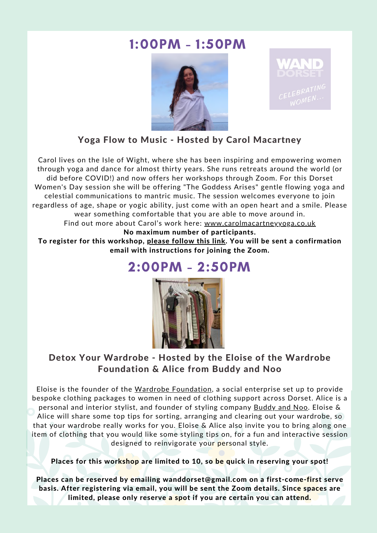### 1:00PM - 1:50PM





Yoga Flow to Music - Hosted by Carol Macartney

Carol lives on the Isle of Wight, where she has been inspiring and empowering women through yoga and dance for almost thirty years. She runs retreats around the world (or did before COVID!) and now offers her workshops through Zoom. For this Dorset Women's Day session she will be offering "The Goddess Arises" gentle flowing yoga and celestial communications to mantric music. The session welcomes everyone to join regardless of age, shape or yogic ability, just come with an open heart and a smile. Please wear something comfortable that you are able to move around in. Find out more about Carol's work here: [www.carolmacartneyyoga.co.uk](http://carolmacartneyyoga.co.uk/)

#### No maximum number of participants.

To register for this workshop, please [follow](https://us02web.zoom.us/meeting/register/tZckf-2rqD0uHNdE_-QY_NwxFjiuyYW-dClO) this link. You will be sent a confirmation email with instructions for joining the Zoom.

### 2:00PM - 2:50PM



#### Detox Your Wardrobe - Hosted by the Eloise of the Wardrobe Foundation & Alice from Buddy and Noo

Eloise is the founder of the Wardrobe [Foundation,](https://wardrobefoundation.co.uk/) a social enterprise set up to provide bespoke clothing packages to women in need of clothing support across Dorset. Alice is a personal and interior stylist, and founder of styling company [Buddy](https://www.buddyandnoo.co.uk/) and Noo. Eloise & Alice will share some top tips for sorting, arranging and clearing out your wardrobe, so that your wardrobe really works for you. Eloise & Alice also invite you to bring along one item of clothing that you would like some styling tips on, for a fun and interactive session designed to reinvigorate your personal style.

Places for this workshop are limited to 10, so be quick in reserving your spot!

Places can be reserved by emailing wanddorset@gmail.com on a first-come-first serve basis. After registering via email, you will be sent the Zoom details. Since spaces are limited, please only reserve a spot if you are certain you can attend.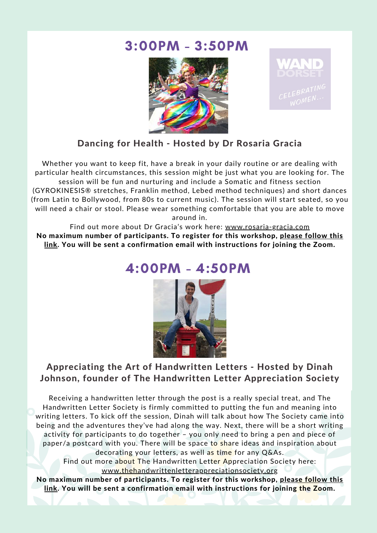### 3:00PM - 3:50PM





#### Dancing for Health - Hosted by Dr Rosaria Gracia

Whether you want to keep fit, have a break in your daily routine or are dealing with particular health circumstances, this session might be just what you are looking for. The session will be fun and nurturing and include a Somatic and fitness section (GYROKINESIS® stretches, Franklin method, Lebed method techniques) and short dances (from Latin to Bollywood, from 80s to current music). The session will start seated, so you will need a chair or stool. Please wear something comfortable that you are able to move around in.

Find out more about Dr Gracia's work here: [www.rosaria-gracia.com](https://rosaria-gracia.com/) No maximum number of participants. To register for this workshop, please follow this link. You will be sent a [confirmation](https://us02web.zoom.us/meeting/register/tZ0ofuCuqz4sHNwryYU26rcVUzAnptCq36aH) email with instructions for joining the Zoom.

### 4:00PM - 4:50PM



#### Appreciating the Art of Handwritten Letters - Hosted by Dinah Johnson, founder of The Handwritten Letter Appreciation Society

Receiving a handwritten letter through the post is a really special treat, and The Handwritten Letter Society is firmly committed to putting the fun and meaning into writing letters. To kick off the session, Dinah will talk about how The Society came into being and the adventures they've had along the way. Next, there will be a short writing activity for participants to do together – you only need to bring a pen and piece of paper/a postcard with you. There will be space to share ideas and inspiration about decorating your letters, as well as time for any Q&As.

Find out more about The Handwritten Letter Appreciation Society here: [www.thehandwrittenletterappreciationsociety.org](https://thehandwrittenletterappreciationsociety.org/)

No maximum number of participants. To register for this workshop, please follow this link. You will be sent a [confirmation](https://us02web.zoom.us/meeting/register/tZMpdOmhpzsiEtFD2uoEGkIjYTVddAbdFBs9) email with instructions for joining the Zoom.